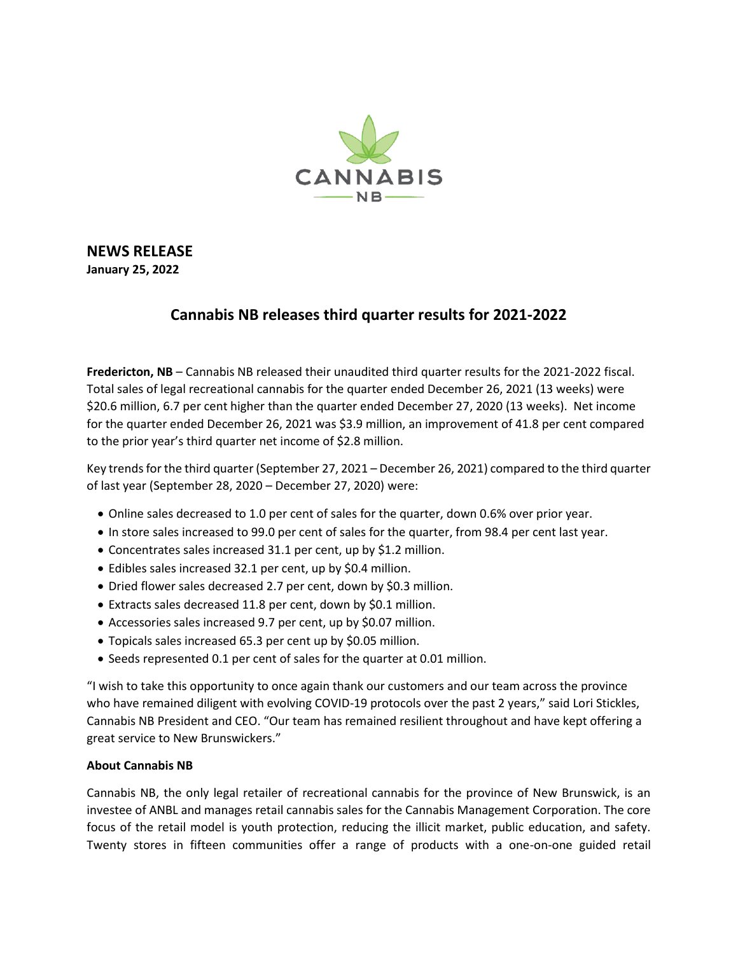

## **NEWS RELEASE**

**January 25, 2022**

## **Cannabis NB releases third quarter results for 2021-2022**

**Fredericton, NB** – Cannabis NB released their unaudited third quarter results for the 2021-2022 fiscal. Total sales of legal recreational cannabis for the quarter ended December 26, 2021 (13 weeks) were \$20.6 million, 6.7 per cent higher than the quarter ended December 27, 2020 (13 weeks). Net income for the quarter ended December 26, 2021 was \$3.9 million, an improvement of 41.8 per cent compared to the prior year's third quarter net income of \$2.8 million.

Key trends for the third quarter (September 27, 2021 – December 26, 2021) compared to the third quarter of last year (September 28, 2020 – December 27, 2020) were:

- Online sales decreased to 1.0 per cent of sales for the quarter, down 0.6% over prior year.
- In store sales increased to 99.0 per cent of sales for the quarter, from 98.4 per cent last year.
- Concentrates sales increased 31.1 per cent, up by \$1.2 million.
- Edibles sales increased 32.1 per cent, up by \$0.4 million.
- Dried flower sales decreased 2.7 per cent, down by \$0.3 million.
- Extracts sales decreased 11.8 per cent, down by \$0.1 million.
- Accessories sales increased 9.7 per cent, up by \$0.07 million.
- Topicals sales increased 65.3 per cent up by \$0.05 million.
- Seeds represented 0.1 per cent of sales for the quarter at 0.01 million.

"I wish to take this opportunity to once again thank our customers and our team across the province who have remained diligent with evolving COVID-19 protocols over the past 2 years," said Lori Stickles, Cannabis NB President and CEO. "Our team has remained resilient throughout and have kept offering a great service to New Brunswickers."

## **About Cannabis NB**

Cannabis NB, the only legal retailer of recreational cannabis for the province of New Brunswick, is an investee of ANBL and manages retail cannabis sales for the Cannabis Management Corporation. The core focus of the retail model is youth protection, reducing the illicit market, public education, and safety. Twenty stores in fifteen communities offer a range of products with a one-on-one guided retail